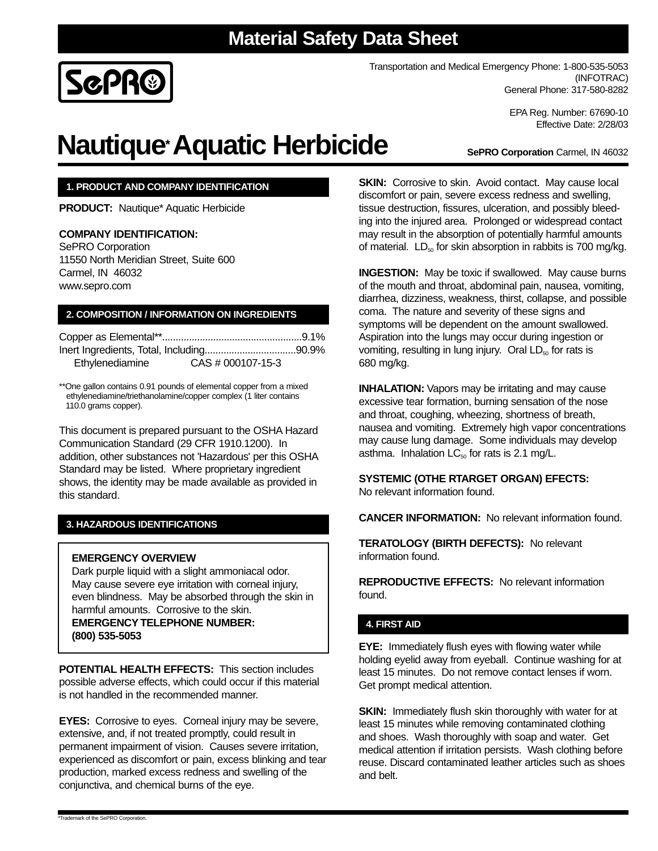# **Material Safety Data Sheet**



Transportation and Medical Emergency Phone: 1-800-535-5053 (INFOTRAC) General Phone: 317-580-8282

> EPA Reg. Number: 67690-10 Effective Date: 2/28/03

# **Nautique\*Aquatic Herbicide**

**SePRO Corporation** Carmel, IN 46032

### **1. PRODUCT AND COMPANY IDENTIFICATION**

**PRODUCT:** Nautique\* Aquatic Herbicide

### **COMPANY IDENTIFICATION:**

SePRO Corporation 11550 North Meridian Street, Suite 600 Carmel, IN 46032 www.sepro.com

### **2. COMPOSITION / INFORMATION ON INGREDIENTS**

| Ethylenediamine | CAS # 000107-15-3 |  |
|-----------------|-------------------|--|

\*\*One gallon contains 0.91 pounds of elemental copper from a mixed ethylenediamine/triethanolamine/copper complex (1 liter contains 110.0 grams copper).

This document is prepared pursuant to the OSHA Hazard Communication Standard (29 CFR 1910.1200). In addition, other substances not 'Hazardous' per this OSHA Standard may be listed. Where proprietary ingredient shows, the identity may be made available as provided in this standard.

### **3. HAZARDOUS IDENTIFICATIONS**

### **EMERGENCY OVERVIEW**

Dark purple liquid with a slight ammoniacal odor. May cause severe eye irritation with corneal injury, even blindness. May be absorbed through the skin in harmful amounts. Corrosive to the skin. **EMERGENCY TELEPHONE NUMBER: (800) 535-5053**

**POTENTIAL HEALTH EFFECTS:** This section includes possible adverse effects, which could occur if this material is not handled in the recommended manner.

**EYES:** Corrosive to eyes. Corneal injury may be severe, extensive, and, if not treated promptly, could result in permanent impairment of vision. Causes severe irritation, experienced as discomfort or pain, excess blinking and tear production, marked excess redness and swelling of the conjunctiva, and chemical burns of the eye.

**SKIN:** Corrosive to skin. Avoid contact. May cause local discomfort or pain, severe excess redness and swelling, tissue destruction, fissures, ulceration, and possibly bleeding into the injured area. Prolonged or widespread contact may result in the absorption of potentially harmful amounts of material.  $LD_{50}$  for skin absorption in rabbits is 700 mg/kg.

**INGESTION:** May be toxic if swallowed. May cause burns of the mouth and throat, abdominal pain, nausea, vomiting, diarrhea, dizziness, weakness, thirst, collapse, and possible coma. The nature and severity of these signs and symptoms will be dependent on the amount swallowed. Aspiration into the lungs may occur during ingestion or vomiting, resulting in lung injury. Oral  $LD_{50}$  for rats is 680 mg/kg.

**INHALATION:** Vapors may be irritating and may cause excessive tear formation, burning sensation of the nose and throat, coughing, wheezing, shortness of breath, nausea and vomiting. Extremely high vapor concentrations may cause lung damage. Some individuals may develop asthma. Inhalation  $LC_{50}$  for rats is 2.1 mg/L.

### **SYSTEMIC (OTHE RTARGET ORGAN) EFECTS:** No relevant information found.

**CANCER INFORMATION:** No relevant information found.

**TERATOLOGY (BIRTH DEFECTS):** No relevant information found.

**REPRODUCTIVE EFFECTS:** No relevant information found.

### **4. FIRST AID**

**EYE:** Immediately flush eyes with flowing water while holding eyelid away from eyeball. Continue washing for at least 15 minutes. Do not remove contact lenses if worn. Get prompt medical attention.

**SKIN:** Immediately flush skin thoroughly with water for at least 15 minutes while removing contaminated clothing and shoes. Wash thoroughly with soap and water. Get medical attention if irritation persists. Wash clothing before reuse. Discard contaminated leather articles such as shoes and belt.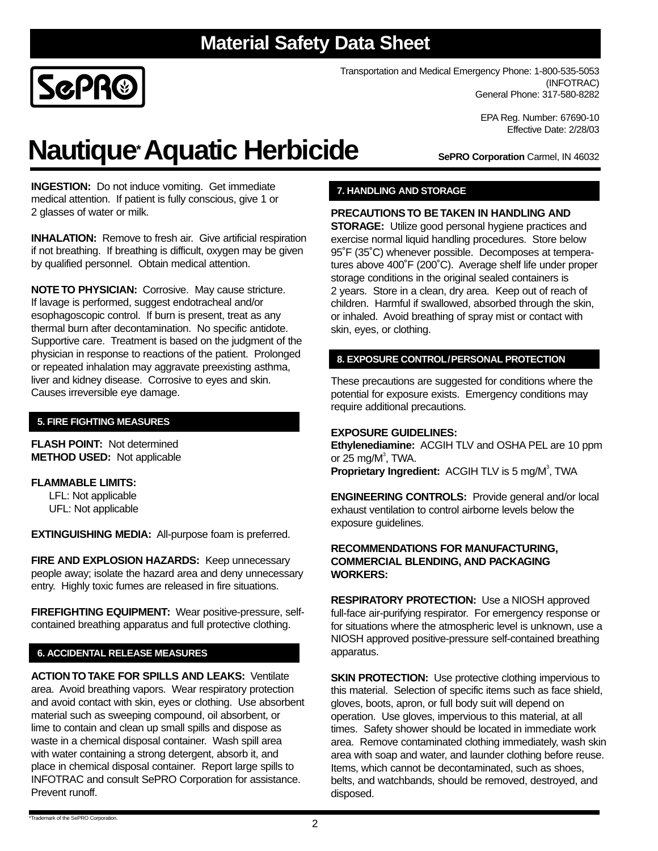# **Material Safety Data Sheet**



Transportation and Medical Emergency Phone: 1-800-535-5053 (INFOTRAC) General Phone: 317-580-8282

> EPA Reg. Number: 67690-10 Effective Date: 2/28/03

# **Nautique\*Aquatic Herbicide**

**SePRO Corporation** Carmel, IN 46032

**INGESTION:** Do not induce vomiting. Get immediate medical attention. If patient is fully conscious, give 1 or 2 glasses of water or milk.

**INHALATION:** Remove to fresh air. Give artificial respiration if not breathing. If breathing is difficult, oxygen may be given by qualified personnel. Obtain medical attention.

**NOTE TO PHYSICIAN:** Corrosive. May cause stricture. If lavage is performed, suggest endotracheal and/or esophagoscopic control. If burn is present, treat as any thermal burn after decontamination. No specific antidote. Supportive care. Treatment is based on the judgment of the physician in response to reactions of the patient. Prolonged or repeated inhalation may aggravate preexisting asthma, liver and kidney disease. Corrosive to eyes and skin. Causes irreversible eye damage.

## **5. FIRE FIGHTING MEASURES**

**FLASH POINT:** Not determined **METHOD USED:** Not applicable

### **FLAMMABLE LIMITS:**

LFL: Not applicable UFL: Not applicable

**EXTINGUISHING MEDIA:** All-purpose foam is preferred.

**FIRE AND EXPLOSION HAZARDS:** Keep unnecessary people away; isolate the hazard area and deny unnecessary entry. Highly toxic fumes are released in fire situations.

**FIREFIGHTING EQUIPMENT:** Wear positive-pressure, selfcontained breathing apparatus and full protective clothing.

### **6. ACCIDENTAL RELEASE MEASURES**

**ACTION TO TAKE FOR SPILLS AND LEAKS:** Ventilate area. Avoid breathing vapors. Wear respiratory protection and avoid contact with skin, eyes or clothing. Use absorbent material such as sweeping compound, oil absorbent, or lime to contain and clean up small spills and dispose as waste in a chemical disposal container. Wash spill area with water containing a strong detergent, absorb it, and place in chemical disposal container. Report large spills to INFOTRAC and consult SePRO Corporation for assistance. Prevent runoff.

### **7. HANDLING AND STORAGE**

### **PRECAUTIONS TO BE TAKEN IN HANDLING AND**

**STORAGE:** Utilize good personal hygiene practices and exercise normal liquid handling procedures. Store below 95˚F (35˚C) whenever possible. Decomposes at temperatures above 400˚F (200˚C). Average shelf life under proper storage conditions in the original sealed containers is 2 years. Store in a clean, dry area. Keep out of reach of children. Harmful if swallowed, absorbed through the skin, or inhaled. Avoid breathing of spray mist or contact with skin, eyes, or clothing.

### **8. EXPOSURE CONTROL/PERSONAL PROTECTION**

These precautions are suggested for conditions where the potential for exposure exists. Emergency conditions may require additional precautions.

### **EXPOSURE GUIDELINES:**

**Ethylenediamine:** ACGIH TLV and OSHA PEL are 10 ppm or 25 mg/ $M^3$ , TWA. Proprietary Ingredient: ACGIH TLV is 5 mg/M<sup>3</sup>, TWA

**ENGINEERING CONTROLS:** Provide general and/or local exhaust ventilation to control airborne levels below the exposure guidelines.

#### **RECOMMENDATIONS FOR MANUFACTURING, COMMERCIAL BLENDING, AND PACKAGING WORKERS:**

**RESPIRATORY PROTECTION:** Use a NIOSH approved full-face air-purifying respirator. For emergency response or for situations where the atmospheric level is unknown, use a NIOSH approved positive-pressure self-contained breathing apparatus.

**SKIN PROTECTION:** Use protective clothing impervious to this material. Selection of specific items such as face shield, gloves, boots, apron, or full body suit will depend on operation. Use gloves, impervious to this material, at all times. Safety shower should be located in immediate work area. Remove contaminated clothing immediately, wash skin area with soap and water, and launder clothing before reuse. Items, which cannot be decontaminated, such as shoes, belts, and watchbands, should be removed, destroyed, and disposed.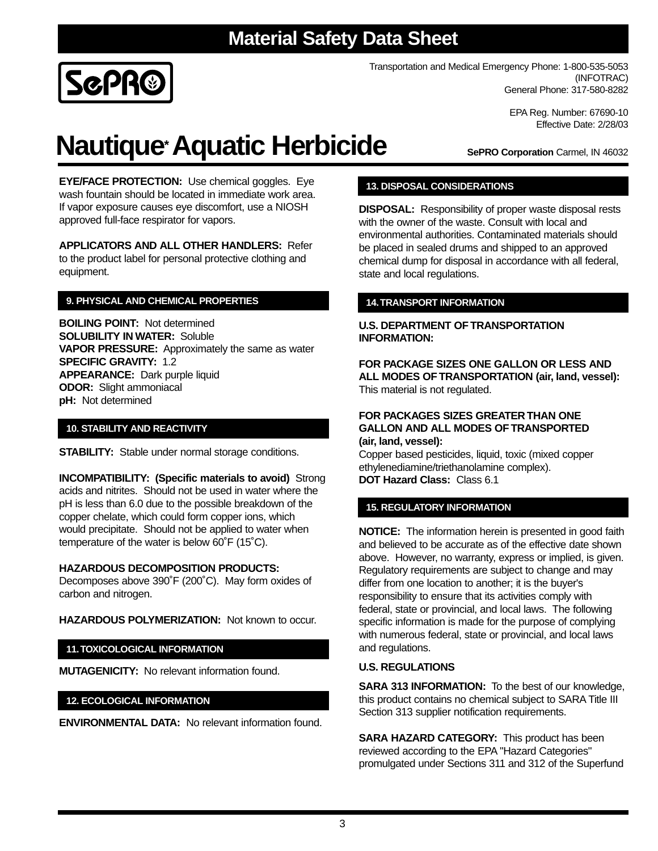

Transportation and Medical Emergency Phone: 1-800-535-5053 (INFOTRAC) General Phone: 317-580-8282

> EPA Reg. Number: 67690-10 Effective Date: 2/28/03

# **Nautique\*Aquatic Herbicide**

**EYE/FACE PROTECTION:** Use chemical goggles. Eye wash fountain should be located in immediate work area. If vapor exposure causes eye discomfort, use a NIOSH approved full-face respirator for vapors.

**APPLICATORS AND ALL OTHER HANDLERS:** Refer to the product label for personal protective clothing and equipment.

## **9. PHYSICAL AND CHEMICAL PROPERTIES**

**BOILING POINT:** Not determined **SOLUBILITY IN WATER:** Soluble **VAPOR PRESSURE:** Approximately the same as water **SPECIFIC GRAVITY:** 1.2 **APPEARANCE:** Dark purple liquid **ODOR:** Slight ammoniacal **pH:** Not determined

### **10. STABILITY AND REACTIVITY**

**STABILITY:** Stable under normal storage conditions.

**INCOMPATIBILITY: (Specific materials to avoid)** Strong acids and nitrites. Should not be used in water where the pH is less than 6.0 due to the possible breakdown of the copper chelate, which could form copper ions, which would precipitate. Should not be applied to water when temperature of the water is below 60˚F (15˚C).

### **HAZARDOUS DECOMPOSITION PRODUCTS:**

Decomposes above 390˚F (200˚C). May form oxides of carbon and nitrogen.

**HAZARDOUS POLYMERIZATION:** Not known to occur.

### **11.TOXICOLOGICAL INFORMATION**

**MUTAGENICITY:** No relevant information found.

### **12. ECOLOGICAL INFORMATION**

**ENVIRONMENTAL DATA:** No relevant information found.

**SePRO Corporation** Carmel, IN 46032

### **13. DISPOSAL CONSIDERATIONS**

**DISPOSAL:** Responsibility of proper waste disposal rests with the owner of the waste. Consult with local and environmental authorities. Contaminated materials should be placed in sealed drums and shipped to an approved chemical dump for disposal in accordance with all federal, state and local regulations.

### **14.TRANSPORT INFORMATION**

### **U.S. DEPARTMENT OF TRANSPORTATION INFORMATION:**

**FOR PACKAGE SIZES ONE GALLON OR LESS AND ALL MODES OF TRANSPORTATION (air, land, vessel):** This material is not regulated.

#### **FOR PACKAGES SIZES GREATER THAN ONE GALLON AND ALL MODES OF TRANSPORTED (air, land, vessel):**

Copper based pesticides, liquid, toxic (mixed copper ethylenediamine/triethanolamine complex). **DOT Hazard Class:** Class 6.1

### **15. REGULATORY INFORMATION**

**NOTICE:** The information herein is presented in good faith and believed to be accurate as of the effective date shown above. However, no warranty, express or implied, is given. Regulatory requirements are subject to change and may differ from one location to another; it is the buyer's responsibility to ensure that its activities comply with federal, state or provincial, and local laws. The following specific information is made for the purpose of complying with numerous federal, state or provincial, and local laws and regulations.

### **U.S. REGULATIONS**

**SARA 313 INFORMATION:** To the best of our knowledge, this product contains no chemical subject to SARA Title III Section 313 supplier notification requirements.

**SARA HAZARD CATEGORY:** This product has been reviewed according to the EPA "Hazard Categories" promulgated under Sections 311 and 312 of the Superfund